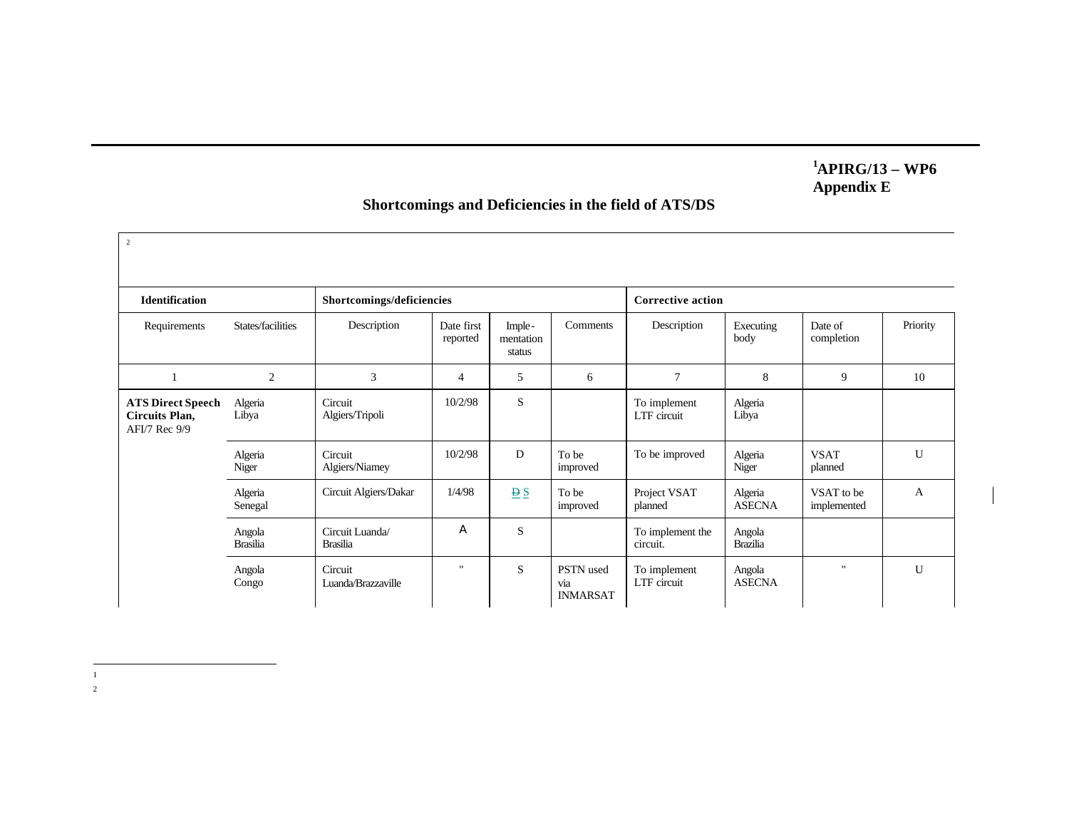## **<sup>1</sup>APIRG/13 – WP6 Appendix E**

## 2 **Identification Shortcomings/deficiencies Corrective action** Requirements States/facilities Description Date first reported Implementation status Comments Description Executing body Date of completion Priority 1 2 3 4 5 6 7 8 9 10 Algeria Libya Circuit Algiers/Tripoli 10/2/98 S S To implement LTF circuit Algeria Libya Algeria Niger Circuit Algiers/Niamey 10/2/98 D To be improved To be improved Algeria Niger VSAT planned U Algeria Senegal Circuit Algiers/Dakar  $1/4/98$   $\underline{\underline{B} S}$  To be improved Project VSAT planned Algeria ASECNA VSAT to be implemented A Angola Brasilia Circuit Luanda/ Brasilia A S S To implement the circuit. Angola Brazilia **ATS Direct Speech Circuits Plan,** AFI/7 Rec 9/9 Angola Congo Circuit Luanda/Brazzaville " S PSTN used via INMARSAT To implement LTF circuit Angola ASECNA " U

## **Shortcomings and Deficiencies in the field of ATS/DS**

|<br>|<br>| 2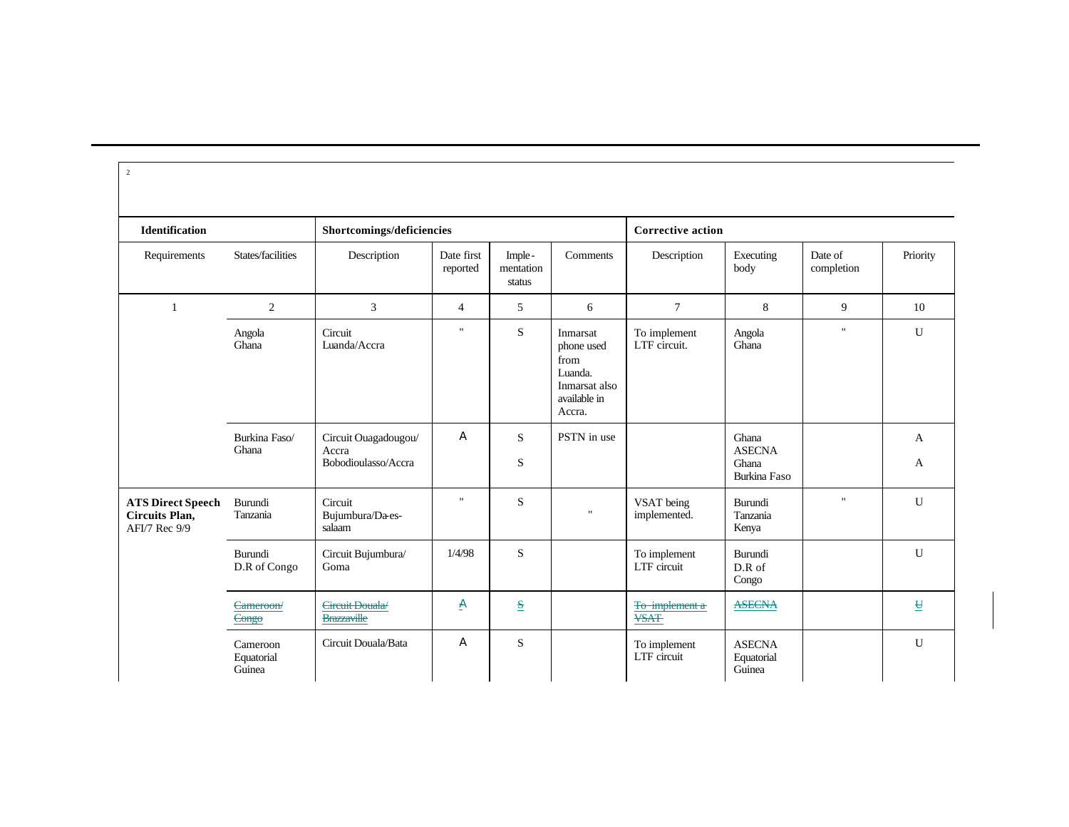| $\overline{c}$                                                     |                                  |                                                      |                        |                               |                                                                                      |                               |                                                        |                       |                         |  |
|--------------------------------------------------------------------|----------------------------------|------------------------------------------------------|------------------------|-------------------------------|--------------------------------------------------------------------------------------|-------------------------------|--------------------------------------------------------|-----------------------|-------------------------|--|
| <b>Identification</b>                                              |                                  | Shortcomings/deficiencies                            |                        |                               |                                                                                      | <b>Corrective action</b>      |                                                        |                       |                         |  |
| Requirements                                                       | States/facilities                | Description                                          | Date first<br>reported | Imple-<br>mentation<br>status | Comments                                                                             | Description                   | Executing<br>body                                      | Date of<br>completion | Priority                |  |
| $\mathbf{1}$                                                       | 2                                | 3                                                    | $\overline{4}$         | 5                             | 6                                                                                    | $\tau$                        | 8                                                      | 9                     | 10                      |  |
|                                                                    | Angola<br>Ghana                  | Circuit<br>Luanda/Accra                              | $\mathbf{H}$           | S                             | Inmarsat<br>phone used<br>from<br>Luanda.<br>Inmarsat also<br>available in<br>Accra. | To implement<br>LTF circuit.  | Angola<br>Ghana                                        | $\mathbf{H}$          | $\mathbf U$             |  |
|                                                                    | Burkina Faso/<br>Ghana           | Circuit Ouagadougou/<br>Accra<br>Bobodioulasso/Accra | A                      | S<br>S                        | PSTN in use                                                                          |                               | Ghana<br><b>ASECNA</b><br>Ghana<br><b>Burkina Faso</b> |                       | A<br>A                  |  |
| <b>ATS Direct Speech</b><br><b>Circuits Plan,</b><br>AFI/7 Rec 9/9 | Burundi<br>Tanzania              | Circuit<br>Bujumbura/Da-es-<br>salaam                | $\mathbf{H}$           | S                             | п.                                                                                   | VSAT being<br>implemented.    | Burundi<br>Tanzania<br>Kenya                           | $\mathbf{H}$          | $\mathbf U$             |  |
|                                                                    | Burundi<br>D.R of Congo          | Circuit Bujumbura/<br>Goma                           | 1/4/98                 | S                             |                                                                                      | To implement<br>LTF circuit   | Burundi<br>$D.R$ of<br>Congo                           |                       | $\mathbf{U}$            |  |
|                                                                    | Cameroon/<br>Congo               | Circuit Douala/<br><b>Brazzaville</b>                | A                      | $\mathbf{s}$                  |                                                                                      | To implement a<br><b>VSAT</b> | <b>ASECNA</b>                                          |                       | $\overline{\mathbf{H}}$ |  |
|                                                                    | Cameroon<br>Equatorial<br>Guinea | Circuit Douala/Bata                                  | A                      | S                             |                                                                                      | To implement<br>LTF circuit   | <b>ASECNA</b><br>Equatorial<br>Guinea                  |                       | $\mathbf U$             |  |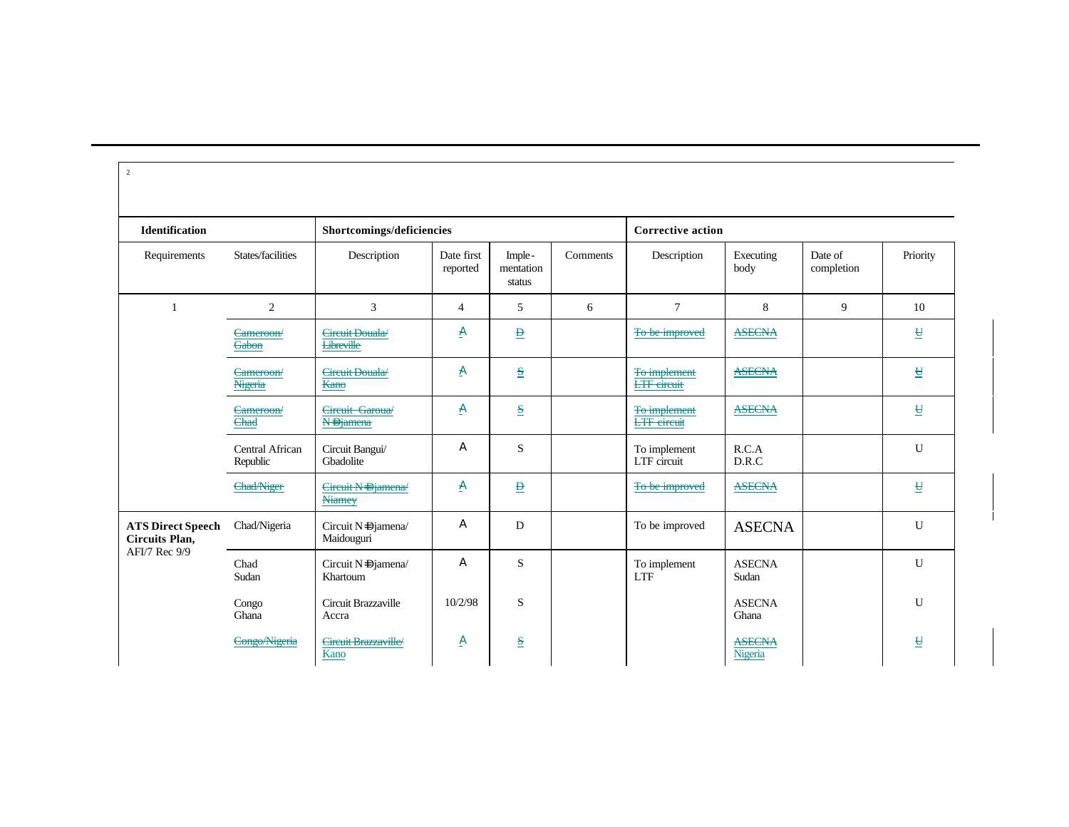| <b>Identification</b>                                       |                             | Shortcomings/deficiencies            |                        |                               |          | <b>Corrective action</b>           |                          |                       |                          |
|-------------------------------------------------------------|-----------------------------|--------------------------------------|------------------------|-------------------------------|----------|------------------------------------|--------------------------|-----------------------|--------------------------|
| Requirements                                                | States/facilities           | Description                          | Date first<br>reported | Imple-<br>mentation<br>status | Comments | Description                        | Executing<br>body        | Date of<br>completion | Priority                 |
| $\mathbf{1}$                                                | $\overline{2}$              | 3                                    | $\overline{4}$         | 5                             | 6        | $\overline{7}$                     | 8                        | 9                     | 10                       |
|                                                             | Cameroon/<br>Gabon          | Circuit Douala/<br><b>Libreville</b> | A                      | $\overline{\mathbf{B}}$       |          | To be improved                     | <b>ASECNA</b>            |                       | $\overline{\mathsf{H}}$  |
|                                                             | Cameroon/<br>Nigeria        | Circuit Douala/<br>Kano              | A                      | $\frac{S}{2}$                 |          | To implement<br><b>LTF</b> circuit | <b>ASECNA</b>            |                       | $\overline{\mathbf{H}}$  |
|                                                             | Cameroon/<br>Chad           | Circuit Garoua/<br><b>N-Djamena</b>  | A                      | $\frac{S}{2}$                 |          | To implement<br><b>LTF</b> circuit | <b>ASECNA</b>            |                       | $\underline{\mathbf{H}}$ |
|                                                             | Central African<br>Republic | Circuit Bangui/<br>Gbadolite         | A                      | S                             |          | To implement<br>LTF circuit        | R.C.A<br>D.R.C           |                       | U                        |
|                                                             | <b>Chad/Niger</b>           | Circuit N-Djamena<br><b>Niamey</b>   | A                      | $\overline{\mathbf{B}}$       |          | To be improved                     | <b>ASECNA</b>            |                       | $\overline{\mathbf{H}}$  |
| <b>ATS Direct Speech</b><br>Circuits Plan,<br>AFI/7 Rec 9/9 | Chad/Nigeria                | Circuit N=Djamena/<br>Maidouguri     | A                      | D                             |          | To be improved                     | <b>ASECNA</b>            |                       | U                        |
|                                                             | Chad<br>Sudan               | Circuit N=Djamena/<br>Khartoum       | A                      | S                             |          | To implement<br><b>LTF</b>         | <b>ASECNA</b><br>Sudan   |                       | U                        |
|                                                             | Congo<br>Ghana              | Circuit Brazzaville<br>Accra         | 10/2/98                | S                             |          |                                    | <b>ASECNA</b><br>Ghana   |                       | $\mathbf{U}$             |
|                                                             | Congo/Nigeria               | Circuit Brazzaville/<br>Kano         | A                      | $\mathbf{s}$                  |          |                                    | <b>ASECNA</b><br>Nigeria |                       | $\underline{\mathtt{H}}$ |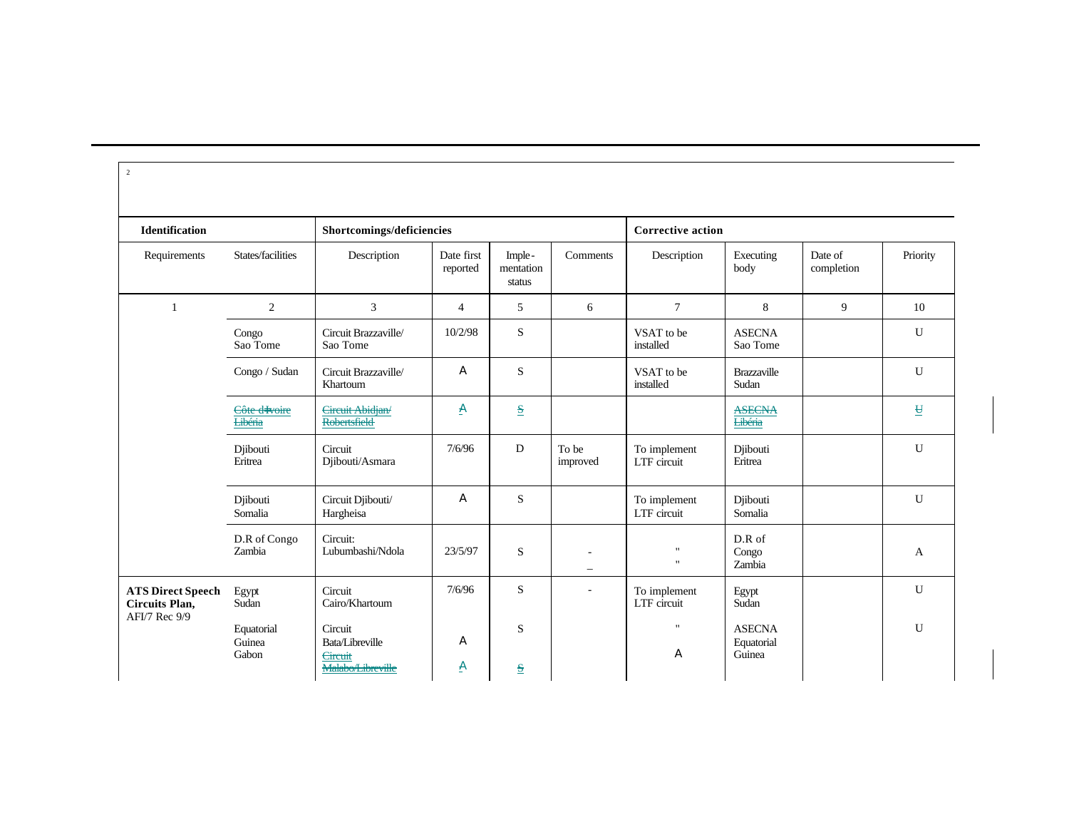| $\overline{2}$                                    |                                 |                                                                   |                        |                               |                          |                              |                                       |                       |                          |
|---------------------------------------------------|---------------------------------|-------------------------------------------------------------------|------------------------|-------------------------------|--------------------------|------------------------------|---------------------------------------|-----------------------|--------------------------|
| Identification                                    |                                 | Shortcomings/deficiencies                                         |                        |                               |                          | <b>Corrective action</b>     |                                       |                       |                          |
| Requirements                                      | States/facilities               | Description                                                       | Date first<br>reported | Imple-<br>mentation<br>status | Comments                 | Description                  | Executing<br>body                     | Date of<br>completion | Priority                 |
| $\mathbf{1}$                                      | 2                               | $\overline{3}$                                                    | $\overline{4}$         | 5                             | 6                        | $7\phantom{.0}$              | 8                                     | 9                     | 10                       |
|                                                   | Congo<br>Sao Tome               | Circuit Brazzaville/<br>Sao Tome                                  | 10/2/98                | S                             |                          | VSAT to be<br>installed      | <b>ASECNA</b><br>Sao Tome             |                       | $\mathbf U$              |
|                                                   | Congo / Sudan                   | Circuit Brazzaville/<br>Khartoum                                  | A                      | S                             |                          | VSAT to be<br>installed      | Brazzaville<br>Sudan                  |                       | $\mathbf U$              |
|                                                   | Côte d-Ivoire<br><b>Libéria</b> | Circuit Abidjan/<br>Robertsfield                                  | A                      | $\mathbf{s}$                  |                          |                              | <b>ASECNA</b><br><b>Libéria</b>       |                       | $\underline{\mathbf{H}}$ |
|                                                   | Djibouti<br>Eritrea             | Circuit<br>Djibouti/Asmara                                        | 7/6/96                 | D                             | To be<br>improved        | To implement<br>LTF circuit  | Djibouti<br>Eritrea                   |                       | U                        |
|                                                   | Djibouti<br>Somalia             | Circuit Djibouti/<br>Hargheisa                                    | A                      | S                             |                          | To implement<br>LTF circuit  | Djibouti<br>Somalia                   |                       | $\mathbf{U}$             |
|                                                   | D.R of Congo<br>Zambia          | Circuit:<br>Lubumbashi/Ndola                                      | 23/5/97                | S                             | $\overline{\phantom{0}}$ | $\mathbf{u}$<br>$\mathbf{H}$ | D.R of<br>Congo<br>Zambia             |                       | A                        |
| <b>ATS Direct Speech</b><br><b>Circuits Plan,</b> | Egypt<br>Sudan                  | Circuit<br>Cairo/Khartoum                                         | 7/6/96                 | S                             | $\overline{\phantom{a}}$ | To implement<br>LTF circuit  | Egypt<br>Sudan                        |                       | U                        |
| AFI/7 Rec 9/9                                     | Equatorial<br>Guinea<br>Gabon   | Circuit<br>Bata/Libreville<br><b>Circuit</b><br>Malabo/Libreville | A<br>Ð                 | S<br>$\mathbf{s}$             |                          | $\mathbf{u}$<br>A            | <b>ASECNA</b><br>Equatorial<br>Guinea |                       | $\mathbf{U}$             |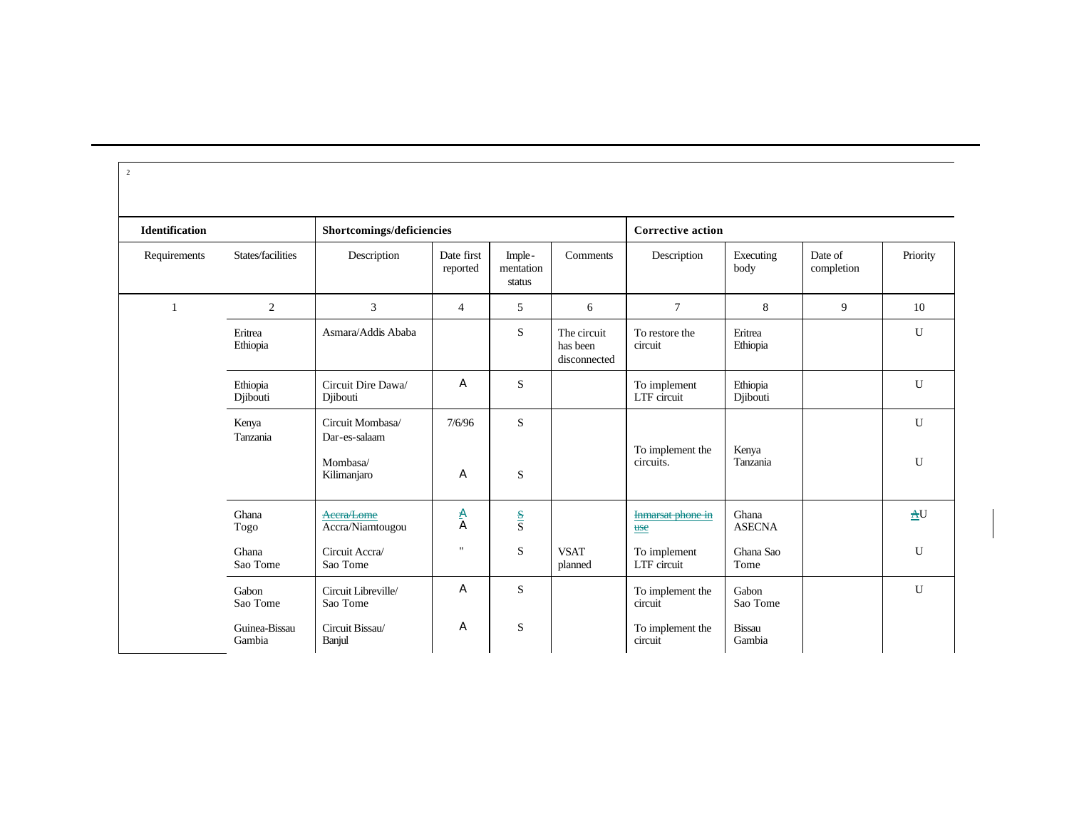| $\overline{c}$        |                         |                                                              |                        |                               |                                         |                               |                         |                       |          |
|-----------------------|-------------------------|--------------------------------------------------------------|------------------------|-------------------------------|-----------------------------------------|-------------------------------|-------------------------|-----------------------|----------|
| <b>Identification</b> |                         | Shortcomings/deficiencies                                    |                        |                               |                                         | <b>Corrective action</b>      |                         |                       |          |
| Requirements          | States/facilities       | Description                                                  | Date first<br>reported | Imple-<br>mentation<br>status | Comments                                | Description                   | Executing<br>body       | Date of<br>completion | Priority |
| 1                     | $\overline{2}$          | 3                                                            | $\overline{4}$         | 5                             | 6                                       | $\tau$                        | 8                       | 9                     | 10       |
|                       | Eritrea<br>Ethiopia     | Asmara/Addis Ababa                                           |                        | S                             | The circuit<br>has been<br>disconnected | To restore the<br>circuit     | Eritrea<br>Ethiopia     |                       | U        |
|                       | Ethiopia<br>Djibouti    | Circuit Dire Dawa/<br>Djibouti                               | A                      | S                             |                                         | To implement<br>LTF circuit   | Ethiopia<br>Djibouti    |                       | U        |
|                       | Kenya<br>Tanzania       | Circuit Mombasa/<br>Dar-es-salaam<br>Mombasa/<br>Kilimanjaro | 7/6/96<br>A            | S<br>$\mathbf S$              |                                         | To implement the<br>circuits. | Kenya<br>Tanzania       |                       | U<br>U   |
|                       | Ghana<br>Togo           | Accra/Lome<br>Accra/Niamtougou                               | a<br>A                 | $\frac{S}{S}$                 |                                         | Inmarsat phone in<br>use      | Ghana<br><b>ASECNA</b>  |                       | AU       |
|                       | Ghana<br>Sao Tome       | Circuit Accra/<br>Sao Tome                                   | $^{\prime\prime}$      | $\mathbf S$                   | <b>VSAT</b><br>planned                  | To implement<br>LTF circuit   | Ghana Sao<br>Tome       |                       | U        |
|                       | Gabon<br>Sao Tome       | Circuit Libreville/<br>Sao Tome                              | A                      | S                             |                                         | To implement the<br>circuit   | Gabon<br>Sao Tome       |                       | U        |
|                       | Guinea-Bissau<br>Gambia | Circuit Bissau/<br>Banjul                                    | A                      | S                             |                                         | To implement the<br>circuit   | <b>Bissau</b><br>Gambia |                       |          |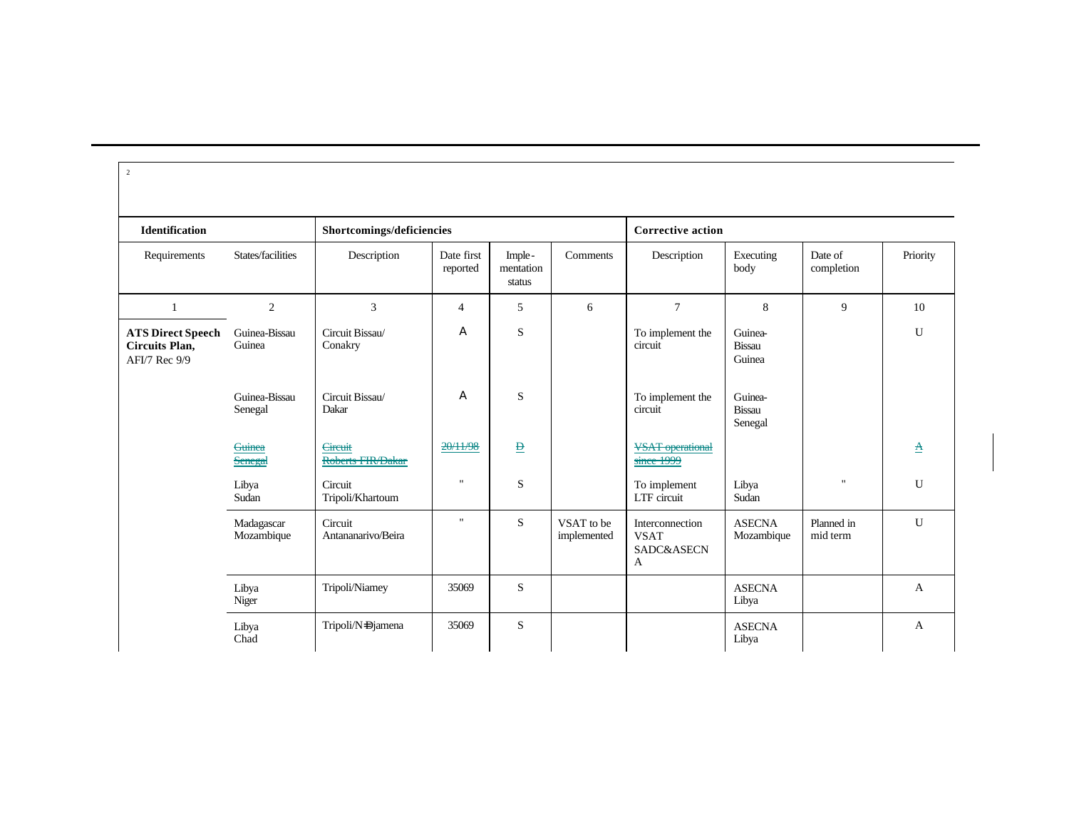| $\overline{2}$                                              |                          |                                     |                        |                               |                           |                                                   |                                    |                           |              |  |
|-------------------------------------------------------------|--------------------------|-------------------------------------|------------------------|-------------------------------|---------------------------|---------------------------------------------------|------------------------------------|---------------------------|--------------|--|
| <b>Identification</b><br>Shortcomings/deficiencies          |                          |                                     |                        |                               |                           | <b>Corrective action</b>                          |                                    |                           |              |  |
| Requirements                                                | States/facilities        | Description                         | Date first<br>reported | Imple-<br>mentation<br>status | Comments                  | Description                                       | Executing<br>body                  | Date of<br>completion     | Priority     |  |
| 1                                                           | 2                        | $\overline{3}$                      | $\overline{4}$         | 5                             | 6                         | $\overline{7}$                                    | 8                                  | 9                         | 10           |  |
| <b>ATS Direct Speech</b><br>Circuits Plan,<br>AFI/7 Rec 9/9 | Guinea-Bissau<br>Guinea  | Circuit Bissau/<br>Conakry          | A                      | S                             |                           | To implement the<br>circuit                       | Guinea-<br><b>Bissau</b><br>Guinea |                           | U            |  |
|                                                             | Guinea-Bissau<br>Senegal | Circuit Bissau/<br>Dakar            | A                      | S                             |                           | To implement the<br>circuit                       | Guinea-<br>Bissau<br>Senegal       |                           |              |  |
|                                                             | <b>Guinea</b><br>Senegal | <b>Circuit</b><br>Roberts FIR/Dakar | 20/11/98               | $\mathbf{B}$                  |                           | <b>VSAT</b> operational<br>since 1999             |                                    |                           | $\mathbf A$  |  |
|                                                             | Libya<br>Sudan           | Circuit<br>Tripoli/Khartoum         | $\pmb{\mathsf{H}}$     | S                             |                           | To implement<br>LTF circuit                       | Libya<br>Sudan                     | $\boldsymbol{\mathsf{H}}$ | U            |  |
|                                                             | Madagascar<br>Mozambique | Circuit<br>Antananarivo/Beira       | $\mathbf{H}$           | S                             | VSAT to be<br>implemented | Interconnection<br><b>VSAT</b><br>SADC&ASECN<br>A | <b>ASECNA</b><br>Mozambique        | Planned in<br>mid term    | U            |  |
|                                                             | Libya<br>Niger           | Tripoli/Niamey                      | 35069                  | S                             |                           |                                                   | <b>ASECNA</b><br>Libya             |                           | $\mathbf{A}$ |  |
|                                                             | Libya<br>Chad            | Tripoli/N=Djamena                   | 35069                  | S                             |                           |                                                   | <b>ASECNA</b><br>Libya             |                           | A            |  |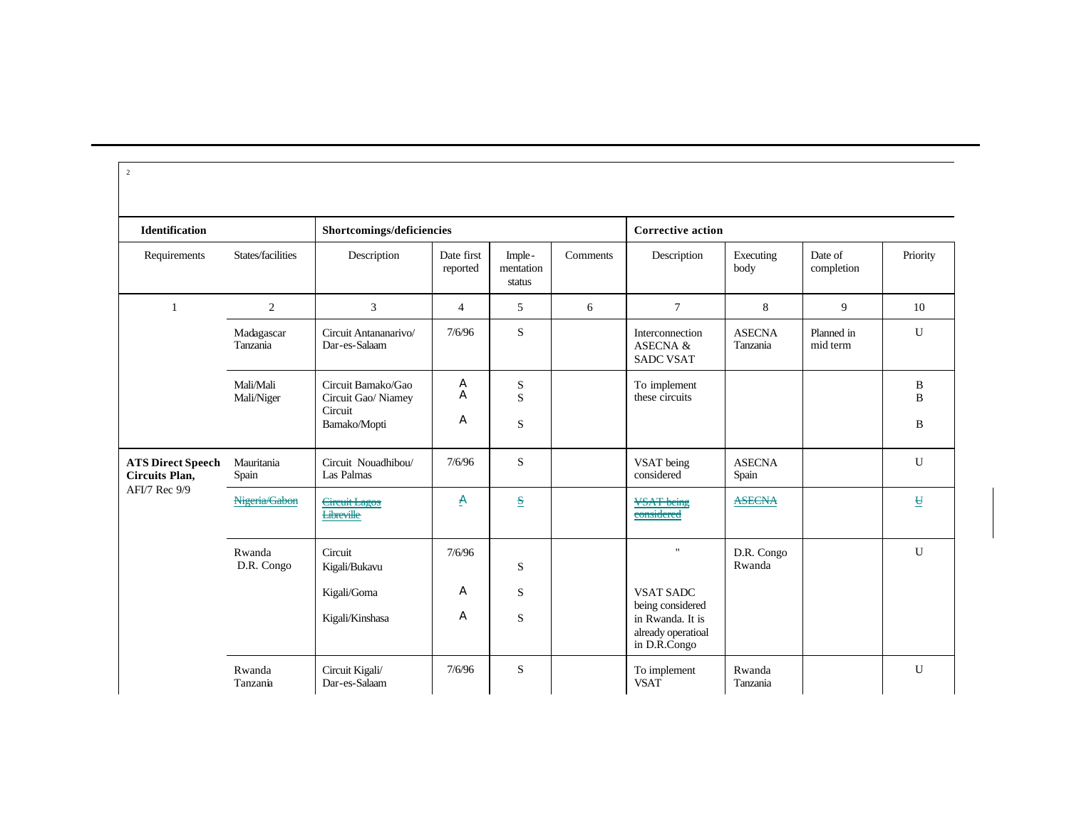| <b>Identification</b>                      |                         | Shortcomings/deficiencies                                            |                        |                               |          | <b>Corrective action</b>                                   |                           |                        |                          |
|--------------------------------------------|-------------------------|----------------------------------------------------------------------|------------------------|-------------------------------|----------|------------------------------------------------------------|---------------------------|------------------------|--------------------------|
| Requirements                               | States/facilities       | Description                                                          | Date first<br>reported | Imple-<br>mentation<br>status | Comments | Description                                                | Executing<br>body         | Date of<br>completion  | Priority                 |
| 1                                          | 2                       | 3                                                                    | $\overline{4}$         | 5                             | 6        | $\tau$                                                     | 8                         | 9                      | 10                       |
|                                            | Madagascar<br>Tanzania  | Circuit Antananarivo/<br>Dar-es-Salaam                               | 7/6/96                 | S                             |          | Interconnection<br><b>ASECNA &amp;</b><br><b>SADC VSAT</b> | <b>ASECNA</b><br>Tanzania | Planned in<br>mid term | $\mathbf U$              |
|                                            | Mali/Mali<br>Mali/Niger | Circuit Bamako/Gao<br>Circuit Gao/ Niamey<br>Circuit<br>Bamako/Mopti | A<br>A<br>A            | S<br>S<br>S                   |          | To implement<br>these circuits                             |                           |                        | B<br>B<br>B              |
| <b>ATS Direct Speech</b><br>Circuits Plan, | Mauritania<br>Spain     | Circuit Nouadhibou/<br>Las Palmas                                    | 7/6/96                 | S                             |          | VSAT being<br>considered                                   | <b>ASECNA</b><br>Spain    |                        | $\mathbf U$              |
| AFI/7 Rec 9/9                              | Nigeria/Gabon           | <b>Circuit Lagos</b><br><b>Libreville</b>                            | A                      | $\mathbf{s}$                  |          | <b>VSAT</b> being<br>considered                            | <b>ASECNA</b>             |                        | $\underline{\mathtt{H}}$ |
|                                            | Rwanda<br>D.R. Congo    | Circuit<br>Kigali/Bukavu<br>Kigali/Goma                              | 7/6/96<br>A            | S<br>S                        |          | $\mathbf{H}$<br><b>VSAT SADC</b><br>being considered       | D.R. Congo<br>Rwanda      |                        | $\mathbf{U}$             |
|                                            |                         | Kigali/Kinshasa                                                      | A                      | S                             |          | in Rwanda. It is<br>already operatioal<br>in D.R.Congo     |                           |                        |                          |
|                                            | Rwanda<br>Tanzania      | Circuit Kigali/<br>Dar-es-Salaam                                     | 7/6/96                 | $\mathbf S$                   |          | To implement<br><b>VSAT</b>                                | Rwanda<br>Tanzania        |                        | $\mathbf U$              |